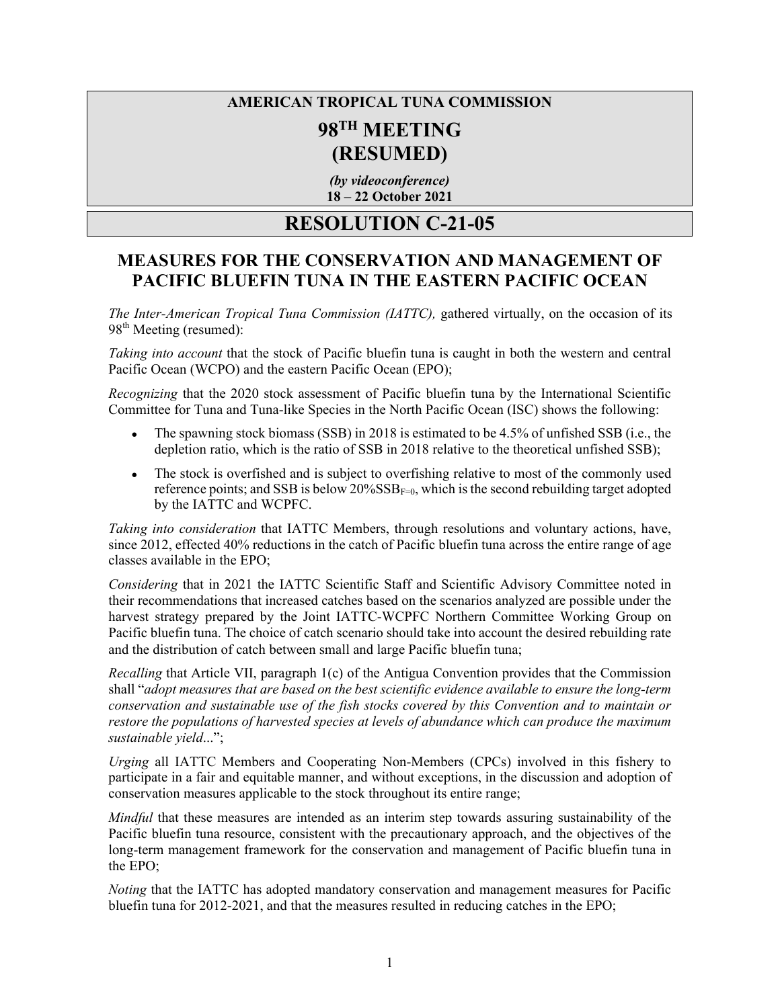## **AMERICAN TROPICAL TUNA COMMISSION 98TH MEETING (RESUMED)**

*(by videoconference)* **18 – 22 October 2021** 

## **RESOLUTION C-21-05**

## **MEASURES FOR THE CONSERVATION AND MANAGEMENT OF PACIFIC BLUEFIN TUNA IN THE EASTERN PACIFIC OCEAN**

*The Inter-American Tropical Tuna Commission (IATTC),* gathered virtually, on the occasion of its 98<sup>th</sup> Meeting (resumed):

*Taking into account* that the stock of Pacific bluefin tuna is caught in both the western and central Pacific Ocean (WCPO) and the eastern Pacific Ocean (EPO);

*Recognizing* that the 2020 stock assessment of Pacific bluefin tuna by the International Scientific Committee for Tuna and Tuna-like Species in the North Pacific Ocean (ISC) shows the following:

- The spawning stock biomass (SSB) in 2018 is estimated to be  $4.5\%$  of unfished SSB (i.e., the depletion ratio, which is the ratio of SSB in 2018 relative to the theoretical unfished SSB);
- The stock is overfished and is subject to overfishing relative to most of the commonly used reference points; and SSB is below  $20\%$ SSB<sub>F=0</sub>, which is the second rebuilding target adopted by the IATTC and WCPFC.

*Taking into consideration* that IATTC Members, through resolutions and voluntary actions, have, since 2012, effected 40% reductions in the catch of Pacific bluefin tuna across the entire range of age classes available in the EPO;

*Considering* that in 2021 the IATTC Scientific Staff and Scientific Advisory Committee noted in their recommendations that increased catches based on the scenarios analyzed are possible under the harvest strategy prepared by the Joint IATTC-WCPFC Northern Committee Working Group on Pacific bluefin tuna. The choice of catch scenario should take into account the desired rebuilding rate and the distribution of catch between small and large Pacific bluefin tuna;

*Recalling* that Article VII, paragraph 1(c) of the Antigua Convention provides that the Commission shall "*adopt measures that are based on the best scientific evidence available to ensure the long-term conservation and sustainable use of the fish stocks covered by this Convention and to maintain or restore the populations of harvested species at levels of abundance which can produce the maximum sustainable yield*...";

*Urging* all IATTC Members and Cooperating Non-Members (CPCs) involved in this fishery to participate in a fair and equitable manner, and without exceptions, in the discussion and adoption of conservation measures applicable to the stock throughout its entire range;

*Mindful* that these measures are intended as an interim step towards assuring sustainability of the Pacific bluefin tuna resource, consistent with the precautionary approach, and the objectives of the long-term management framework for the conservation and management of Pacific bluefin tuna in the EPO;

*Noting* that the IATTC has adopted mandatory conservation and management measures for Pacific bluefin tuna for 2012-2021, and that the measures resulted in reducing catches in the EPO;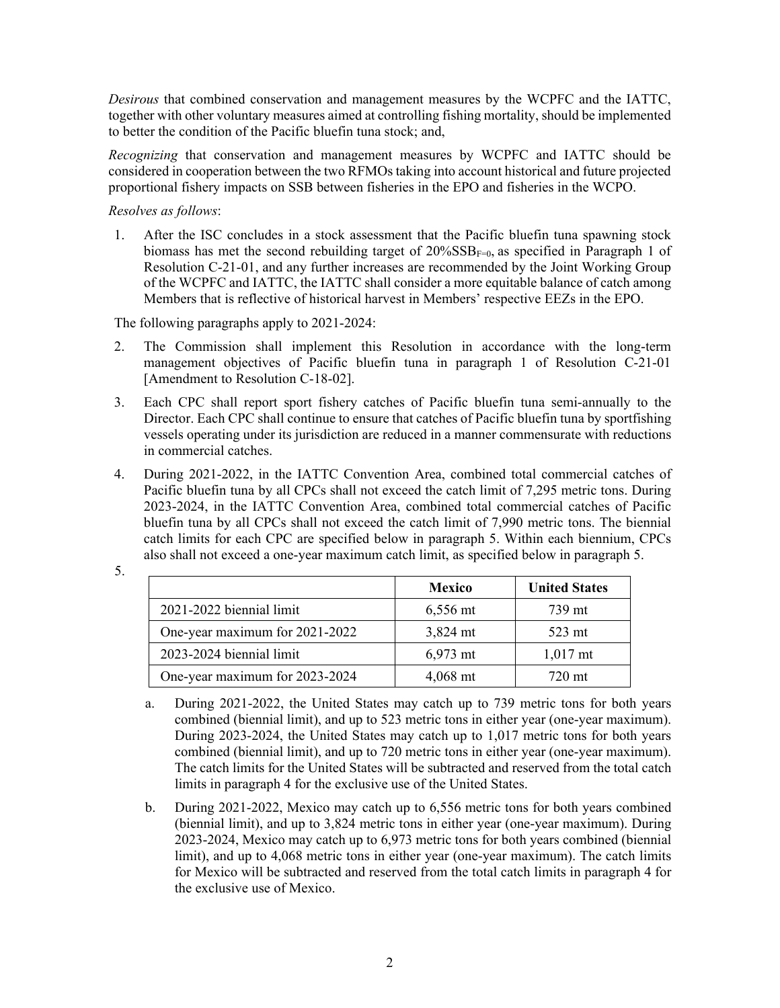*Desirous* that combined conservation and management measures by the WCPFC and the IATTC, together with other voluntary measures aimed at controlling fishing mortality, should be implemented to better the condition of the Pacific bluefin tuna stock; and,

*Recognizing* that conservation and management measures by WCPFC and IATTC should be considered in cooperation between the two RFMOs taking into account historical and future projected proportional fishery impacts on SSB between fisheries in the EPO and fisheries in the WCPO.

*Resolves as follows*:

1. After the ISC concludes in a stock assessment that the Pacific bluefin tuna spawning stock biomass has met the second rebuilding target of  $20\%{\rm SSB}_{F=0}$ , as specified in Paragraph 1 of Resolution C-21-01, and any further increases are recommended by the Joint Working Group of the WCPFC and IATTC, the IATTC shall consider a more equitable balance of catch among Members that is reflective of historical harvest in Members' respective EEZs in the EPO.

The following paragraphs apply to 2021-2024:

- 2. The Commission shall implement this Resolution in accordance with the long-term management objectives of Pacific bluefin tuna in paragraph 1 of Resolution C-21-01 [Amendment to Resolution C-18-02].
- 3. Each CPC shall report sport fishery catches of Pacific bluefin tuna semi-annually to the Director. Each CPC shall continue to ensure that catches of Pacific bluefin tuna by sportfishing vessels operating under its jurisdiction are reduced in a manner commensurate with reductions in commercial catches.
- 4. During 2021-2022, in the IATTC Convention Area, combined total commercial catches of Pacific bluefin tuna by all CPCs shall not exceed the catch limit of 7,295 metric tons. During 2023-2024, in the IATTC Convention Area, combined total commercial catches of Pacific bluefin tuna by all CPCs shall not exceed the catch limit of 7,990 metric tons. The biennial catch limits for each CPC are specified below in paragraph 5. Within each biennium, CPCs also shall not exceed a one-year maximum catch limit, as specified below in paragraph 5.

| ×                 |  |
|-------------------|--|
| ł<br>۰.<br>×<br>v |  |

|                                | <b>Mexico</b>      | <b>United States</b> |
|--------------------------------|--------------------|----------------------|
| 2021-2022 biennial limit       | $6,556$ mt         | 739 mt               |
| One-year maximum for 2021-2022 | $3,824 \text{ mt}$ | 523 mt               |
| 2023-2024 biennial limit       | $6,973$ mt         | $1,017$ mt           |
| One-year maximum for 2023-2024 | $4,068$ mt         | 720 mt               |

- a. During 2021-2022, the United States may catch up to 739 metric tons for both years combined (biennial limit), and up to 523 metric tons in either year (one-year maximum). During 2023-2024, the United States may catch up to 1,017 metric tons for both years combined (biennial limit), and up to 720 metric tons in either year (one-year maximum). The catch limits for the United States will be subtracted and reserved from the total catch limits in paragraph 4 for the exclusive use of the United States.
- b. During 2021-2022, Mexico may catch up to 6,556 metric tons for both years combined (biennial limit), and up to 3,824 metric tons in either year (one-year maximum). During 2023-2024, Mexico may catch up to 6,973 metric tons for both years combined (biennial limit), and up to 4,068 metric tons in either year (one-year maximum). The catch limits for Mexico will be subtracted and reserved from the total catch limits in paragraph 4 for the exclusive use of Mexico.